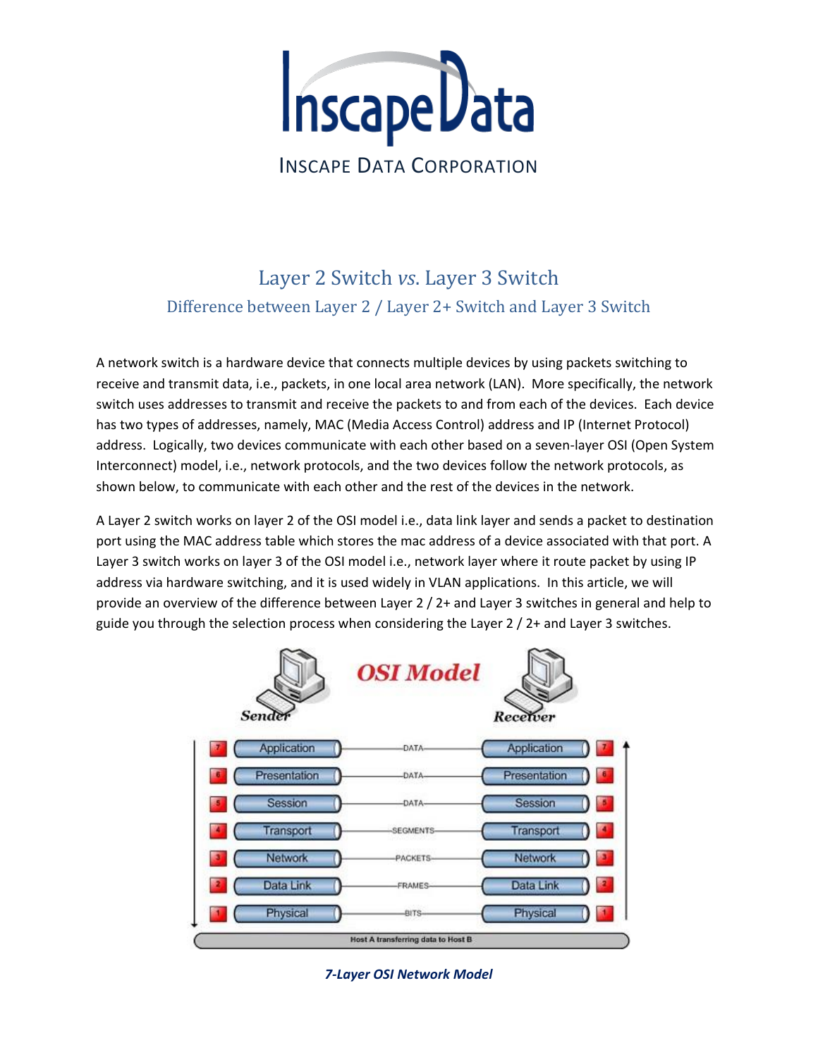

# Layer 2 Switch *vs*. Layer 3 Switch Difference between Layer 2 / Layer 2+ Switch and Layer 3 Switch

A network switch is a hardware device that connects multiple devices by using packets switching to receive and transmit data, i.e., packets, in one local area network (LAN). More specifically, the network switch uses addresses to transmit and receive the packets to and from each of the devices. Each device has two types of addresses, namely, MAC (Media Access Control) address and IP (Internet Protocol) address. Logically, two devices communicate with each other based on a seven-layer OSI (Open System Interconnect) model, i.e., network protocols, and the two devices follow the network protocols, as shown below, to communicate with each other and the rest of the devices in the network.

A Layer 2 switch works on layer 2 of the OSI model i.e., data link layer and sends a packet to destination port using the MAC address table which stores the mac address of a device associated with that port. A Layer 3 switch works on layer 3 of the OSI model i.e., network layer where it route packet by using IP address via hardware switching, and it is used widely in VLAN applications. In this article, we will provide an overview of the difference between Layer 2 / 2+ and Layer 3 switches in general and help to guide you through the selection process when considering the Layer 2 / 2+ and Layer 3 switches.



*7-Layer OSI Network Model*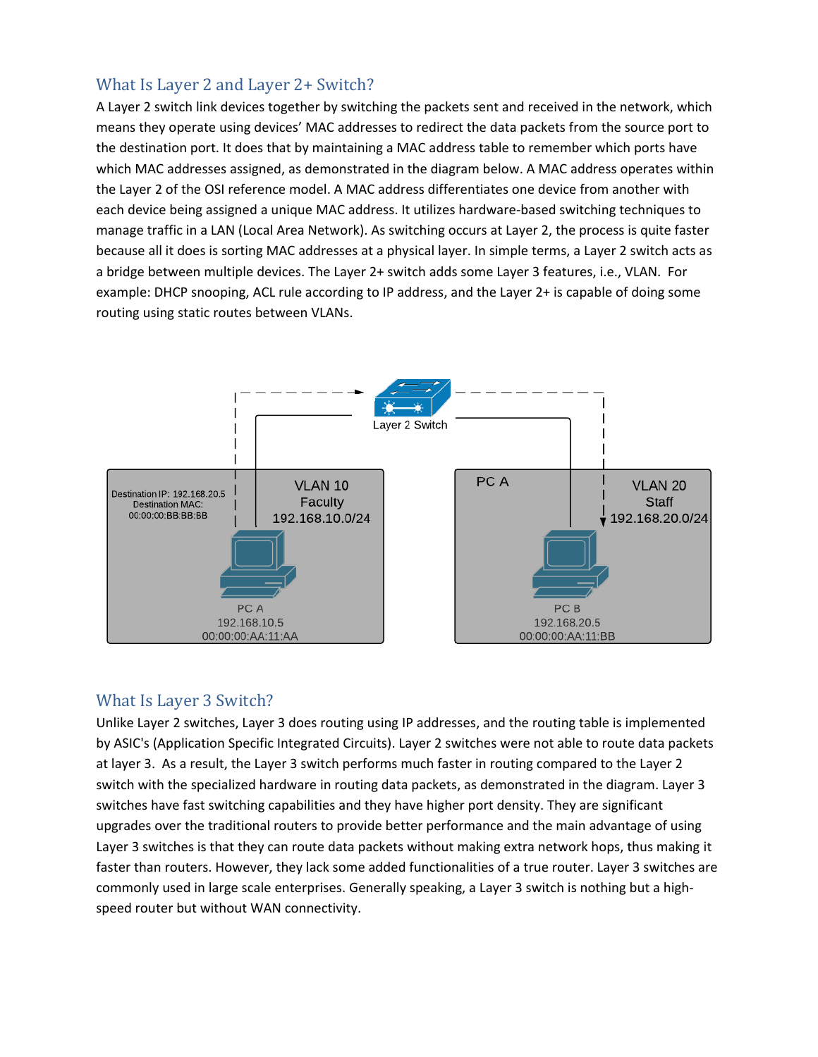## What Is Layer 2 and Layer 2+ Switch?

A Layer 2 switch link devices together by switching the packets sent and received in the network, which means they operate using devices' MAC addresses to redirect the data packets from the source port to the destination port. It does that by maintaining a MAC address table to remember which ports have which MAC addresses assigned, as demonstrated in the diagram below. A MAC address operates within the Layer 2 of the OSI reference model. A MAC address differentiates one device from another with each device being assigned a unique MAC address. It utilizes hardware-based switching techniques to manage traffic in a LAN (Local Area Network). As switching occurs at Layer 2, the process is quite faster because all it does is sorting MAC addresses at a physical layer. In simple terms, a Layer 2 switch acts as a bridge between multiple devices. The Layer 2+ switch adds some Layer 3 features, i.e., VLAN. For example: DHCP snooping, ACL rule according to IP address, and the Layer 2+ is capable of doing some routing using static routes between VLANs.



### What Is Layer 3 Switch?

Unlike Layer 2 switches, Layer 3 does routing using IP addresses, and the routing table is implemented by ASIC's (Application Specific Integrated Circuits). Layer 2 switches were not able to route data packets at layer 3. As a result, the Layer 3 switch performs much faster in routing compared to the Layer 2 switch with the specialized hardware in routing data packets, as demonstrated in the diagram. Layer 3 switches have fast switching capabilities and they have higher port density. They are significant upgrades over the traditional routers to provide better performance and the main advantage of using Layer 3 switches is that they can route data packets without making extra network hops, thus making it faster than routers. However, they lack some added functionalities of a true router. Layer 3 switches are commonly used in large scale enterprises. Generally speaking, a Layer 3 switch is nothing but a highspeed router but without WAN connectivity.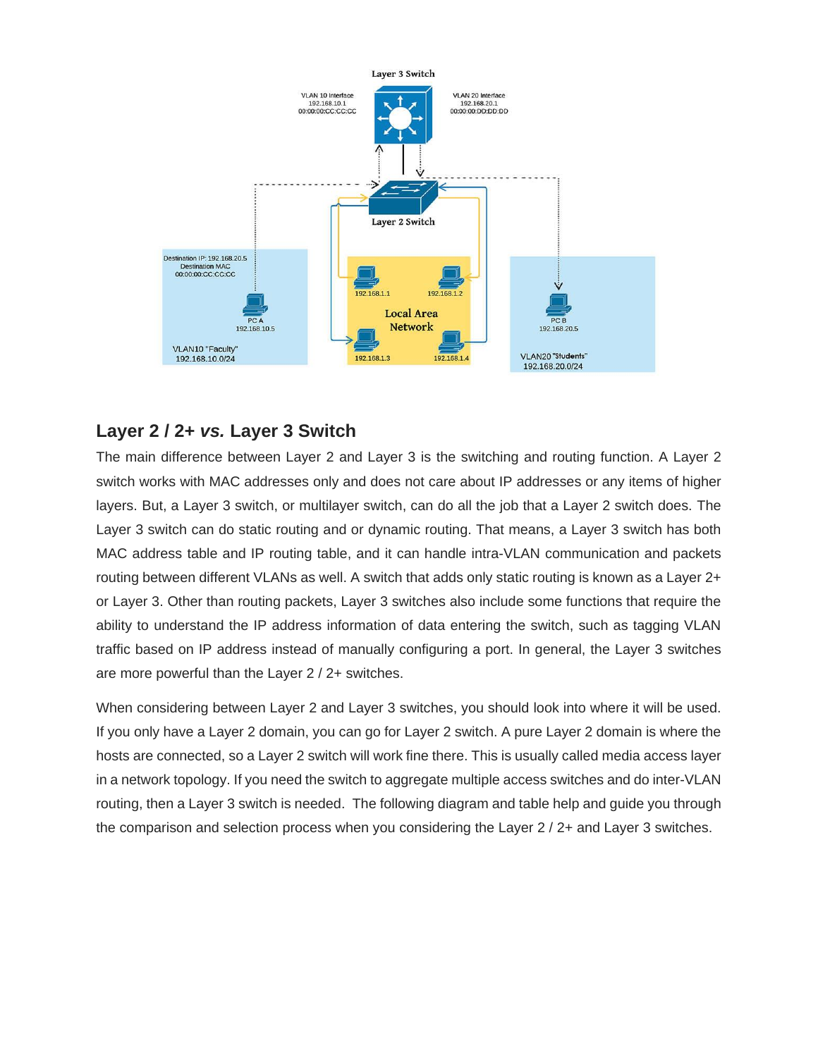

# **Layer 2 / 2+** *vs.* **Layer 3 Switch**

The main difference between Layer 2 and Layer 3 is the switching and routing function. A Layer 2 switch works with MAC addresses only and does not care about IP addresses or any items of higher layers. But, a Layer 3 switch, or multilayer switch, can do all the job that a Layer 2 switch does. The Layer 3 switch can do static routing and or dynamic routing. That means, a Layer 3 switch has both MAC address table and IP routing table, and it can handle intra-VLAN communication and packets routing between different VLANs as well. A switch that adds only static routing is known as a Layer 2+ or Layer 3. Other than routing packets, Layer 3 switches also include some functions that require the ability to understand the IP address information of data entering the switch, such as tagging VLAN traffic based on IP address instead of manually configuring a port. In general, the Layer 3 switches are more powerful than the Layer 2 / 2+ switches.

When considering between Layer 2 and Layer 3 switches, you should look into where it will be used. If you only have a Layer 2 domain, you can go for Layer 2 switch. A pure Layer 2 domain is where the hosts are connected, so a Layer 2 switch will work fine there. This is usually called media access layer in a network topology. If you need the switch to aggregate multiple access switches and do inter-VLAN routing, then a Layer 3 switch is needed. The following diagram and table help and guide you through the comparison and selection process when you considering the Layer 2 / 2+ and Layer 3 switches.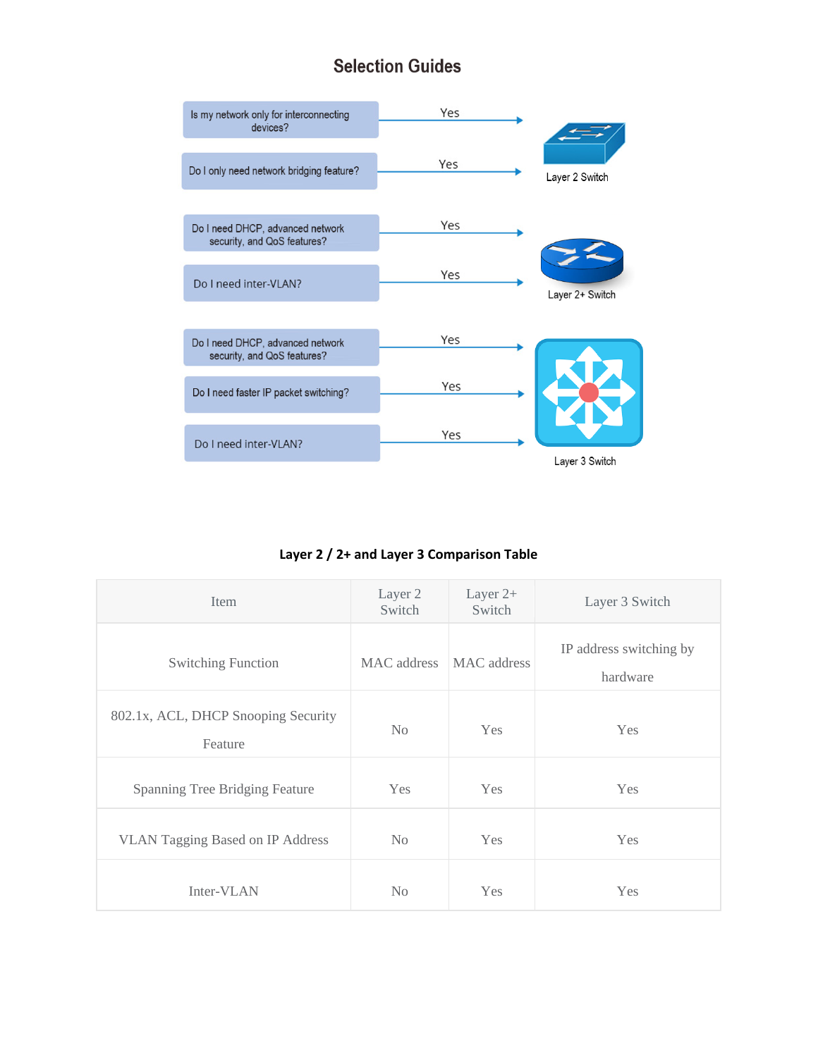# **Selection Guides**



**Layer 2 / 2+ and Layer 3 Comparison Table**

| Item                                           | Layer 2<br>Switch | Layer $2+$<br>Switch | Layer 3 Switch                      |
|------------------------------------------------|-------------------|----------------------|-------------------------------------|
| <b>Switching Function</b>                      | MAC address       | MAC address          | IP address switching by<br>hardware |
| 802.1x, ACL, DHCP Snooping Security<br>Feature | No                | Yes                  | Yes                                 |
| Spanning Tree Bridging Feature                 | Yes               | Yes                  | Yes                                 |
| <b>VLAN Tagging Based on IP Address</b>        | N <sub>0</sub>    | <b>Yes</b>           | Yes                                 |
| Inter-VLAN                                     | No                | Yes                  | Yes                                 |